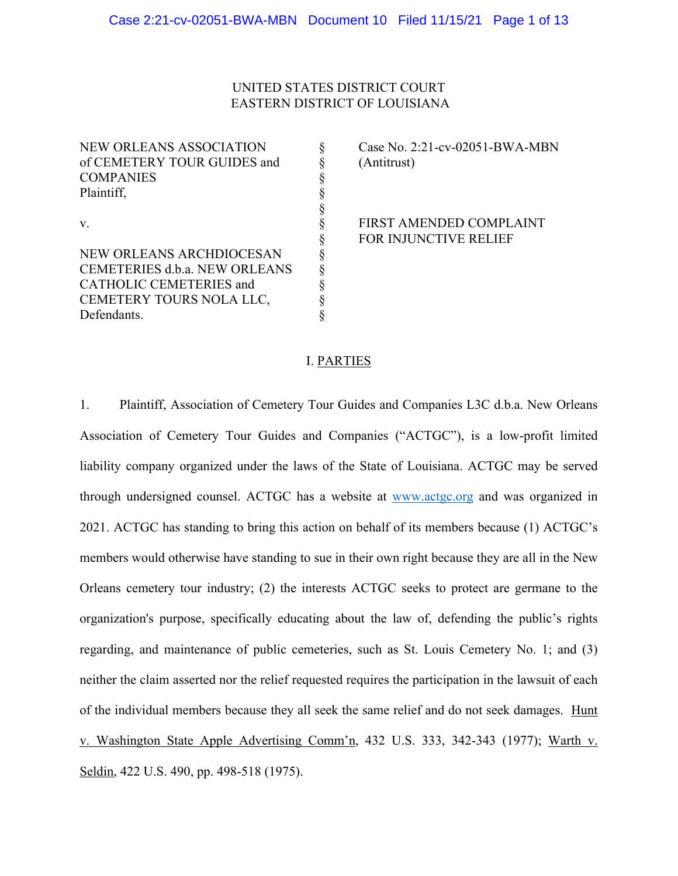# UNITED STATES DISTRICT COURT EASTERN DISTRICT OF LOUISIANA

NEW ORLEANS ASSOCIATION  $\S$  Case No. 2:21-cv-02051-BWA-MBN of CEMETERY TOUR GUIDES and  $\qquad \qquad \S$  (Antitrust) **COMPANIES** Plaintiff. v. Same School School School School School School School School School School School School School School School School School School School School School School School School School School School School School School Scho NEW ORLEANS ARCHDIOCESAN CEMETERIES d.b.a. NEW ORLEANS CATHOLIC CEMETERIES and CEMETERY TOURS NOLA LLC,

Defendants.

FOR INJUNCTIVE RELIEF

## I. PARTIES

\$<br>\$<br>\$<br>\$<br>\$<br>\$<br>\$<br>\$<br>\$

1. Plaintiff, Association of Cemetery Tour Guides and Companies L3C d.b.a. New Orleans Association of Cemetery Tour Guides and Companies ("ACTGC"), is a low-profit limited liability company organized under the laws of the State of Louisiana. ACTGC may be served through undersigned counsel. ACTGC has a website at www.actgc.org and was organized in 2021. ACTGC has standing to bring this action on behalf of its members because (1) ACTGC's members would otherwise have standing to sue in their own right because they are all in the New Orleans cemetery tour industry; (2) the interests ACTGC seeks to protect are germane to the organization's purpose, specifically educating about the law of, defending the public's rights regarding, and maintenance of public cemeteries, such as St. Louis Cemetery No. 1; and (3) neither the claim asserted nor the relief requested requires the participation in the lawsuit of each of the individual members because they all seek the same relief and do not seek damages. Hunt v. Washington State Apple Advertising Comm'n, 432 U.S. 333, 342-343 (1977); Warth v. Seldin, 422 U.S. 490, pp. 498-518 (1975).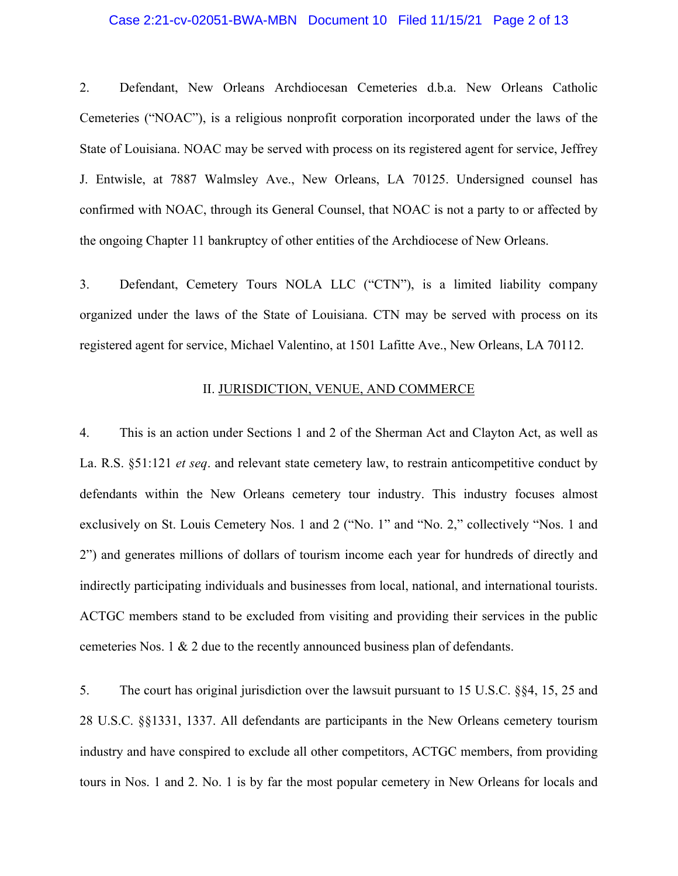### Case 2:21-cv-02051-BWA-MBN Document 10 Filed 11/15/21 Page 2 of 13

2. Defendant, New Orleans Archdiocesan Cemeteries d.b.a. New Orleans Catholic Cemeteries ("NOAC"), is a religious nonprofit corporation incorporated under the laws of the State of Louisiana. NOAC may be served with process on its registered agent for service, Jeffrey J. Entwisle, at 7887 Walmsley Ave., New Orleans, LA 70125. Undersigned counsel has confirmed with NOAC, through its General Counsel, that NOAC is not a party to or affected by the ongoing Chapter 11 bankruptcy of other entities of the Archdiocese of New Orleans.

3. Defendant, Cemetery Tours NOLA LLC ("CTN"), is a limited liability company organized under the laws of the State of Louisiana. CTN may be served with process on its registered agent for service, Michael Valentino, at 1501 Lafitte Ave., New Orleans, LA 70112.

### II. JURISDICTION, VENUE, AND COMMERCE

4. This is an action under Sections 1 and 2 of the Sherman Act and Clayton Act, as well as La. R.S. §51:121 *et seq*. and relevant state cemetery law, to restrain anticompetitive conduct by defendants within the New Orleans cemetery tour industry. This industry focuses almost exclusively on St. Louis Cemetery Nos. 1 and 2 ("No. 1" and "No. 2," collectively "Nos. 1 and 2") and generates millions of dollars of tourism income each year for hundreds of directly and indirectly participating individuals and businesses from local, national, and international tourists. ACTGC members stand to be excluded from visiting and providing their services in the public cemeteries Nos. 1 & 2 due to the recently announced business plan of defendants.

5. The court has original jurisdiction over the lawsuit pursuant to 15 U.S.C. §§4, 15, 25 and 28 U.S.C. §§1331, 1337. All defendants are participants in the New Orleans cemetery tourism industry and have conspired to exclude all other competitors, ACTGC members, from providing tours in Nos. 1 and 2. No. 1 is by far the most popular cemetery in New Orleans for locals and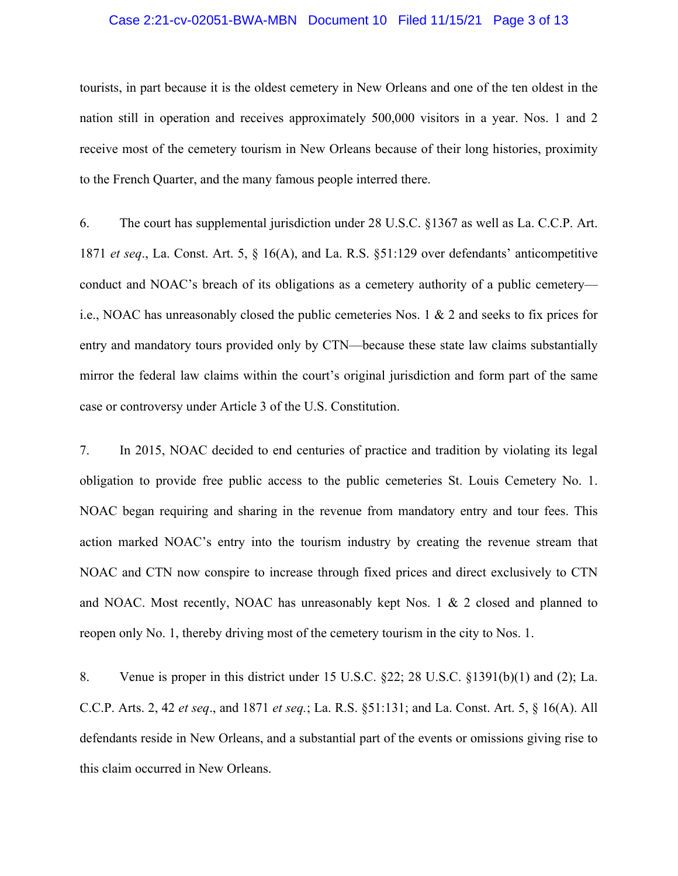### Case 2:21-cv-02051-BWA-MBN Document 10 Filed 11/15/21 Page 3 of 13

tourists, in part because it is the oldest cemetery in New Orleans and one of the ten oldest in the nation still in operation and receives approximately 500,000 visitors in a year. Nos. 1 and 2 receive most of the cemetery tourism in New Orleans because of their long histories, proximity to the French Quarter, and the many famous people interred there.

6. The court has supplemental jurisdiction under 28 U.S.C. §1367 as well as La. C.C.P. Art. 1871 *et seq*., La. Const. Art. 5, § 16(A), and La. R.S. §51:129 over defendants' anticompetitive conduct and NOAC's breach of its obligations as a cemetery authority of a public cemetery i.e., NOAC has unreasonably closed the public cemeteries Nos. 1 & 2 and seeks to fix prices for entry and mandatory tours provided only by CTN—because these state law claims substantially mirror the federal law claims within the court's original jurisdiction and form part of the same case or controversy under Article 3 of the U.S. Constitution.

7. In 2015, NOAC decided to end centuries of practice and tradition by violating its legal obligation to provide free public access to the public cemeteries St. Louis Cemetery No. 1. NOAC began requiring and sharing in the revenue from mandatory entry and tour fees. This action marked NOAC's entry into the tourism industry by creating the revenue stream that NOAC and CTN now conspire to increase through fixed prices and direct exclusively to CTN and NOAC. Most recently, NOAC has unreasonably kept Nos. 1 & 2 closed and planned to reopen only No. 1, thereby driving most of the cemetery tourism in the city to Nos. 1.

8. Venue is proper in this district under 15 U.S.C. §22; 28 U.S.C. §1391(b)(1) and (2); La. C.C.P. Arts. 2, 42 *et seq*., and 1871 *et seq.*; La. R.S. §51:131; and La. Const. Art. 5, § 16(A). All defendants reside in New Orleans, and a substantial part of the events or omissions giving rise to this claim occurred in New Orleans.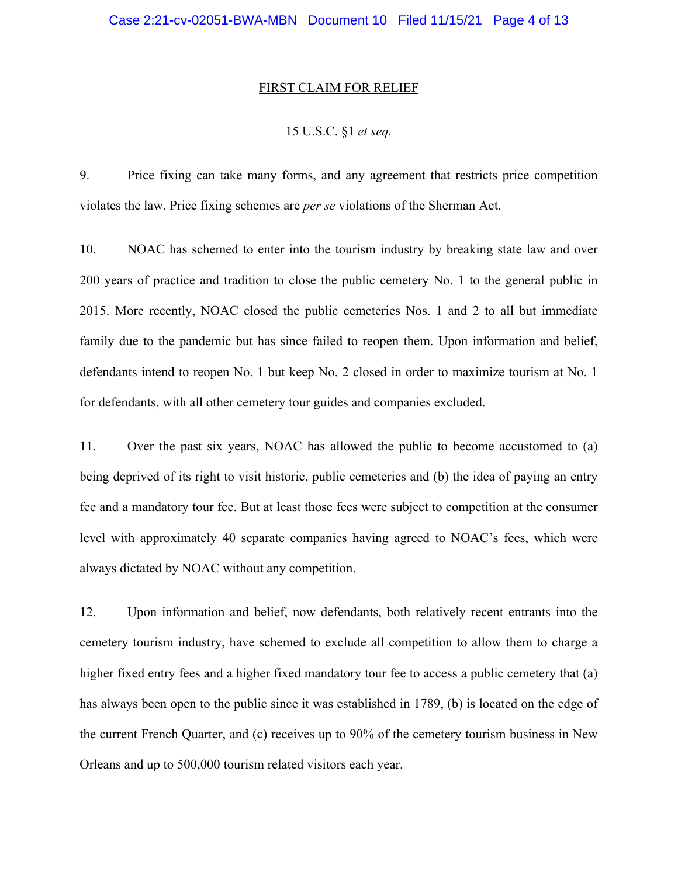#### FIRST CLAIM FOR RELIEF

## 15 U.S.C. §1 *et seq.*

9. Price fixing can take many forms, and any agreement that restricts price competition violates the law. Price fixing schemes are *per se* violations of the Sherman Act.

10. NOAC has schemed to enter into the tourism industry by breaking state law and over 200 years of practice and tradition to close the public cemetery No. 1 to the general public in 2015. More recently, NOAC closed the public cemeteries Nos. 1 and 2 to all but immediate family due to the pandemic but has since failed to reopen them. Upon information and belief, defendants intend to reopen No. 1 but keep No. 2 closed in order to maximize tourism at No. 1 for defendants, with all other cemetery tour guides and companies excluded.

11. Over the past six years, NOAC has allowed the public to become accustomed to (a) being deprived of its right to visit historic, public cemeteries and (b) the idea of paying an entry fee and a mandatory tour fee. But at least those fees were subject to competition at the consumer level with approximately 40 separate companies having agreed to NOAC's fees, which were always dictated by NOAC without any competition.

12. Upon information and belief, now defendants, both relatively recent entrants into the cemetery tourism industry, have schemed to exclude all competition to allow them to charge a higher fixed entry fees and a higher fixed mandatory tour fee to access a public cemetery that (a) has always been open to the public since it was established in 1789, (b) is located on the edge of the current French Quarter, and (c) receives up to 90% of the cemetery tourism business in New Orleans and up to 500,000 tourism related visitors each year.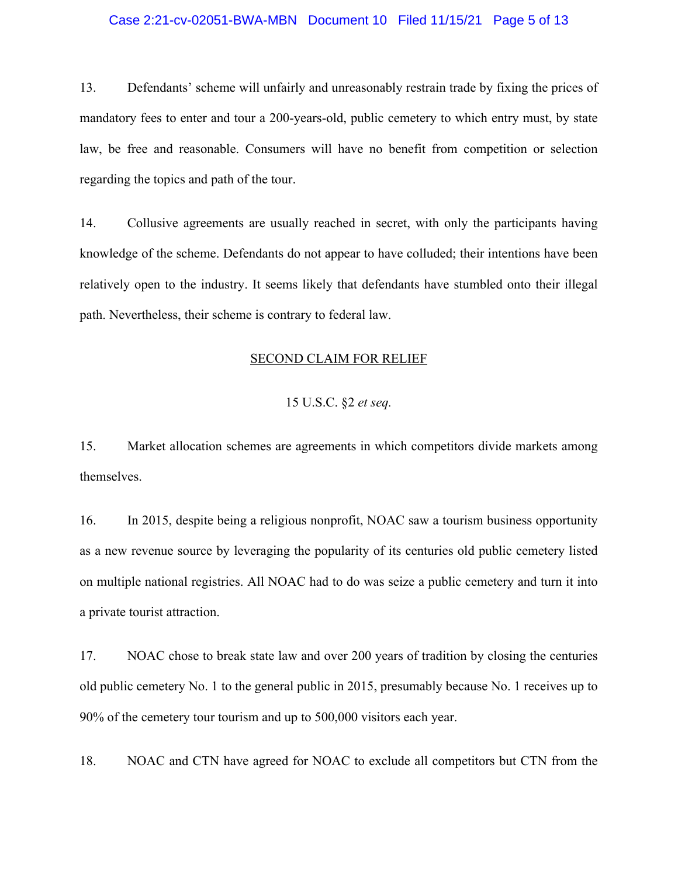### Case 2:21-cv-02051-BWA-MBN Document 10 Filed 11/15/21 Page 5 of 13

13. Defendants' scheme will unfairly and unreasonably restrain trade by fixing the prices of mandatory fees to enter and tour a 200-years-old, public cemetery to which entry must, by state law, be free and reasonable. Consumers will have no benefit from competition or selection regarding the topics and path of the tour.

14. Collusive agreements are usually reached in secret, with only the participants having knowledge of the scheme. Defendants do not appear to have colluded; their intentions have been relatively open to the industry. It seems likely that defendants have stumbled onto their illegal path. Nevertheless, their scheme is contrary to federal law.

#### SECOND CLAIM FOR RELIEF

## 15 U.S.C. §2 *et seq.*

15. Market allocation schemes are agreements in which competitors divide markets among themselves.

16. In 2015, despite being a religious nonprofit, NOAC saw a tourism business opportunity as a new revenue source by leveraging the popularity of its centuries old public cemetery listed on multiple national registries. All NOAC had to do was seize a public cemetery and turn it into a private tourist attraction.

17. NOAC chose to break state law and over 200 years of tradition by closing the centuries old public cemetery No. 1 to the general public in 2015, presumably because No. 1 receives up to 90% of the cemetery tour tourism and up to 500,000 visitors each year.

18. NOAC and CTN have agreed for NOAC to exclude all competitors but CTN from the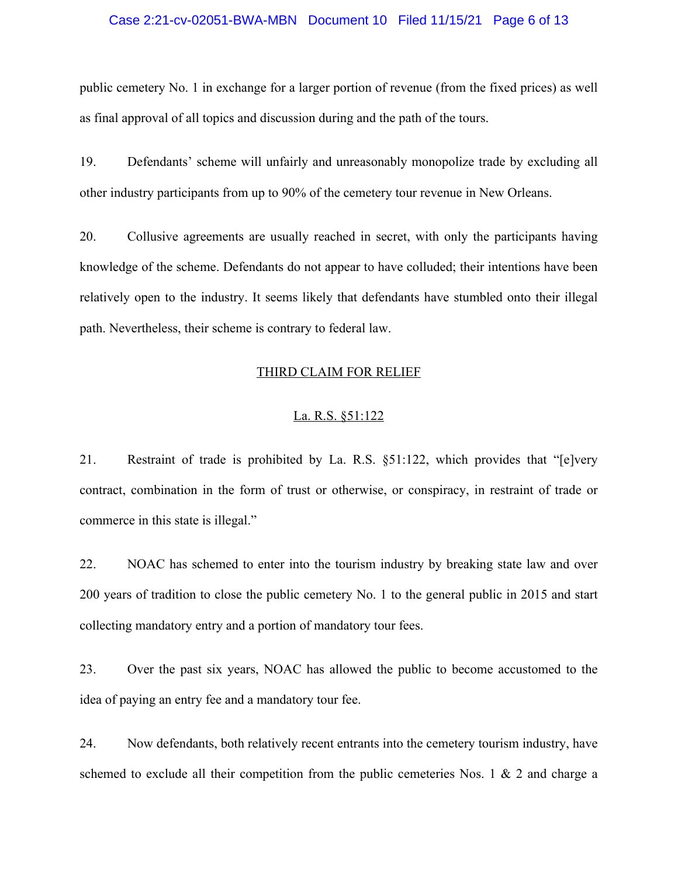### Case 2:21-cv-02051-BWA-MBN Document 10 Filed 11/15/21 Page 6 of 13

public cemetery No. 1 in exchange for a larger portion of revenue (from the fixed prices) as well as final approval of all topics and discussion during and the path of the tours.

19. Defendants' scheme will unfairly and unreasonably monopolize trade by excluding all other industry participants from up to 90% of the cemetery tour revenue in New Orleans.

20. Collusive agreements are usually reached in secret, with only the participants having knowledge of the scheme. Defendants do not appear to have colluded; their intentions have been relatively open to the industry. It seems likely that defendants have stumbled onto their illegal path. Nevertheless, their scheme is contrary to federal law.

### THIRD CLAIM FOR RELIEF

### La. R.S. §51:122

21. Restraint of trade is prohibited by La. R.S. §51:122, which provides that "[e]very contract, combination in the form of trust or otherwise, or conspiracy, in restraint of trade or commerce in this state is illegal."

22. NOAC has schemed to enter into the tourism industry by breaking state law and over 200 years of tradition to close the public cemetery No. 1 to the general public in 2015 and start collecting mandatory entry and a portion of mandatory tour fees.

23. Over the past six years, NOAC has allowed the public to become accustomed to the idea of paying an entry fee and a mandatory tour fee.

24. Now defendants, both relatively recent entrants into the cemetery tourism industry, have schemed to exclude all their competition from the public cemeteries Nos. 1 & 2 and charge a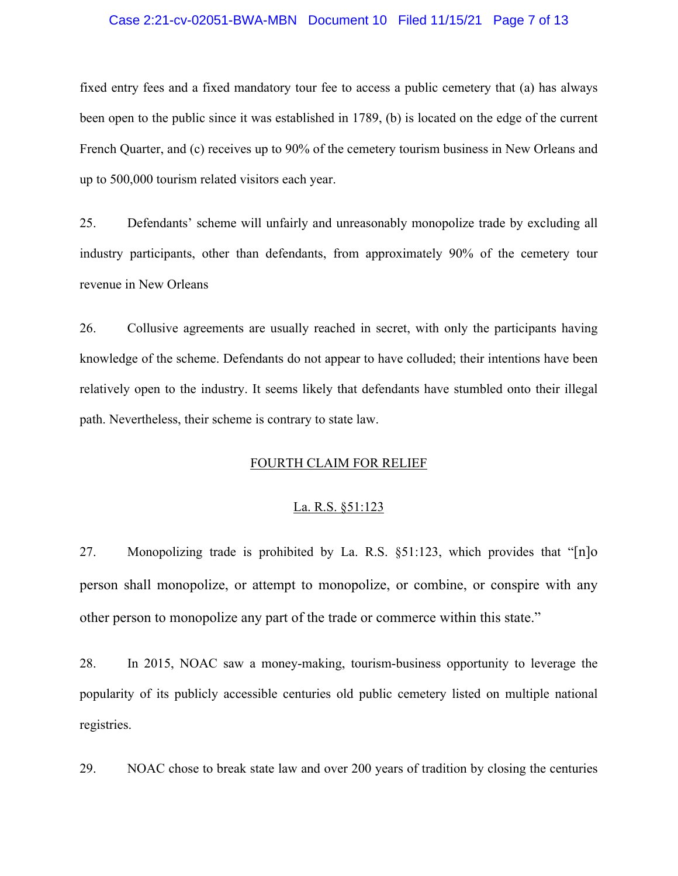### Case 2:21-cv-02051-BWA-MBN Document 10 Filed 11/15/21 Page 7 of 13

fixed entry fees and a fixed mandatory tour fee to access a public cemetery that (a) has always been open to the public since it was established in 1789, (b) is located on the edge of the current French Quarter, and (c) receives up to 90% of the cemetery tourism business in New Orleans and up to 500,000 tourism related visitors each year.

25. Defendants' scheme will unfairly and unreasonably monopolize trade by excluding all industry participants, other than defendants, from approximately 90% of the cemetery tour revenue in New Orleans

26. Collusive agreements are usually reached in secret, with only the participants having knowledge of the scheme. Defendants do not appear to have colluded; their intentions have been relatively open to the industry. It seems likely that defendants have stumbled onto their illegal path. Nevertheless, their scheme is contrary to state law.

## FOURTH CLAIM FOR RELIEF

#### La. R.S. §51:123

27. Monopolizing trade is prohibited by La. R.S.  $\S 51:123$ , which provides that "[n]o person shall monopolize, or attempt to monopolize, or combine, or conspire with any other person to monopolize any part of the trade or commerce within this state."

28. In 2015, NOAC saw a money-making, tourism-business opportunity to leverage the popularity of its publicly accessible centuries old public cemetery listed on multiple national registries.

29. NOAC chose to break state law and over 200 years of tradition by closing the centuries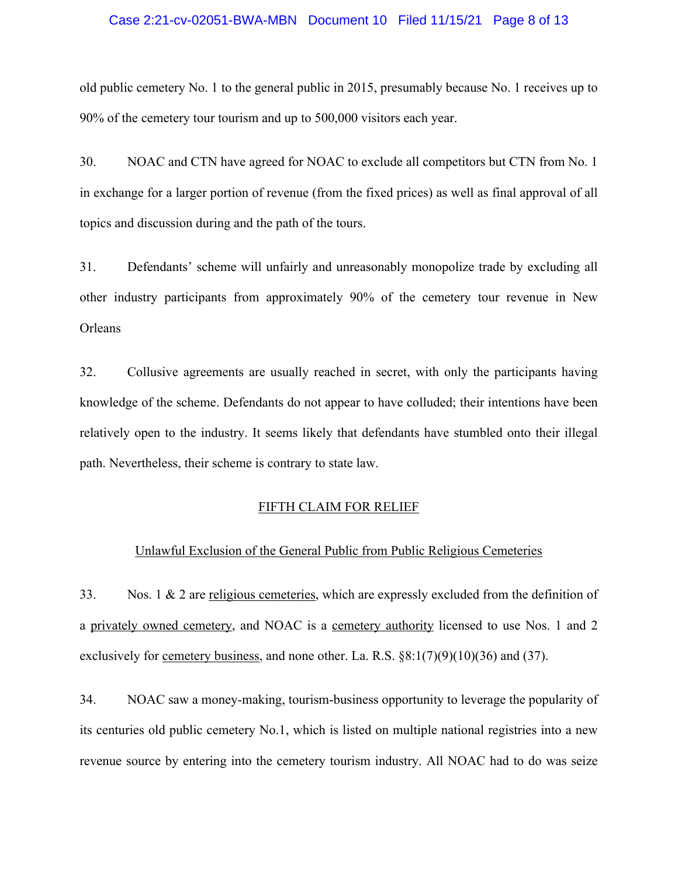### Case 2:21-cv-02051-BWA-MBN Document 10 Filed 11/15/21 Page 8 of 13

old public cemetery No. 1 to the general public in 2015, presumably because No. 1 receives up to 90% of the cemetery tour tourism and up to 500,000 visitors each year.

30. NOAC and CTN have agreed for NOAC to exclude all competitors but CTN from No. 1 in exchange for a larger portion of revenue (from the fixed prices) as well as final approval of all topics and discussion during and the path of the tours.

31. Defendants' scheme will unfairly and unreasonably monopolize trade by excluding all other industry participants from approximately 90% of the cemetery tour revenue in New Orleans

32. Collusive agreements are usually reached in secret, with only the participants having knowledge of the scheme. Defendants do not appear to have colluded; their intentions have been relatively open to the industry. It seems likely that defendants have stumbled onto their illegal path. Nevertheless, their scheme is contrary to state law.

### FIFTH CLAIM FOR RELIEF

## Unlawful Exclusion of the General Public from Public Religious Cemeteries

33. Nos. 1 & 2 are religious cemeteries, which are expressly excluded from the definition of a privately owned cemetery, and NOAC is a cemetery authority licensed to use Nos. 1 and 2 exclusively for <u>cemetery business</u>, and none other. La. R.S.  $\S8:1(7)(9)(10)(36)$  and (37).

34. NOAC saw a money-making, tourism-business opportunity to leverage the popularity of its centuries old public cemetery No.1, which is listed on multiple national registries into a new revenue source by entering into the cemetery tourism industry. All NOAC had to do was seize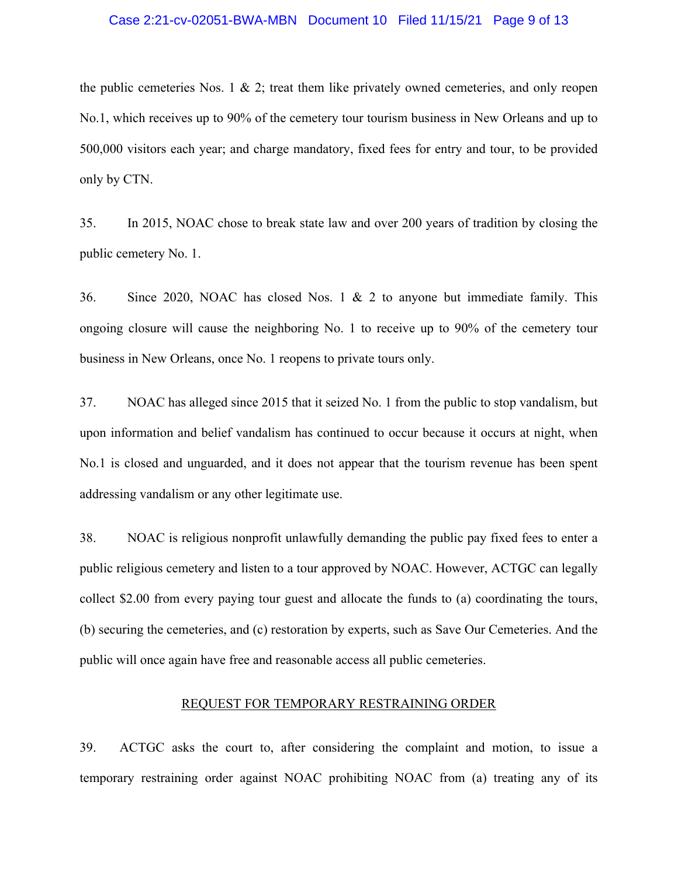#### Case 2:21-cv-02051-BWA-MBN Document 10 Filed 11/15/21 Page 9 of 13

the public cemeteries Nos. 1 & 2; treat them like privately owned cemeteries, and only reopen No.1, which receives up to 90% of the cemetery tour tourism business in New Orleans and up to 500,000 visitors each year; and charge mandatory, fixed fees for entry and tour, to be provided only by CTN.

35. In 2015, NOAC chose to break state law and over 200 years of tradition by closing the public cemetery No. 1.

36. Since 2020, NOAC has closed Nos. 1 & 2 to anyone but immediate family. This ongoing closure will cause the neighboring No. 1 to receive up to 90% of the cemetery tour business in New Orleans, once No. 1 reopens to private tours only.

37. NOAC has alleged since 2015 that it seized No. 1 from the public to stop vandalism, but upon information and belief vandalism has continued to occur because it occurs at night, when No.1 is closed and unguarded, and it does not appear that the tourism revenue has been spent addressing vandalism or any other legitimate use.

38. NOAC is religious nonprofit unlawfully demanding the public pay fixed fees to enter a public religious cemetery and listen to a tour approved by NOAC. However, ACTGC can legally collect \$2.00 from every paying tour guest and allocate the funds to (a) coordinating the tours, (b) securing the cemeteries, and (c) restoration by experts, such as Save Our Cemeteries. And the public will once again have free and reasonable access all public cemeteries.

#### REQUEST FOR TEMPORARY RESTRAINING ORDER

39. ACTGC asks the court to, after considering the complaint and motion, to issue a temporary restraining order against NOAC prohibiting NOAC from (a) treating any of its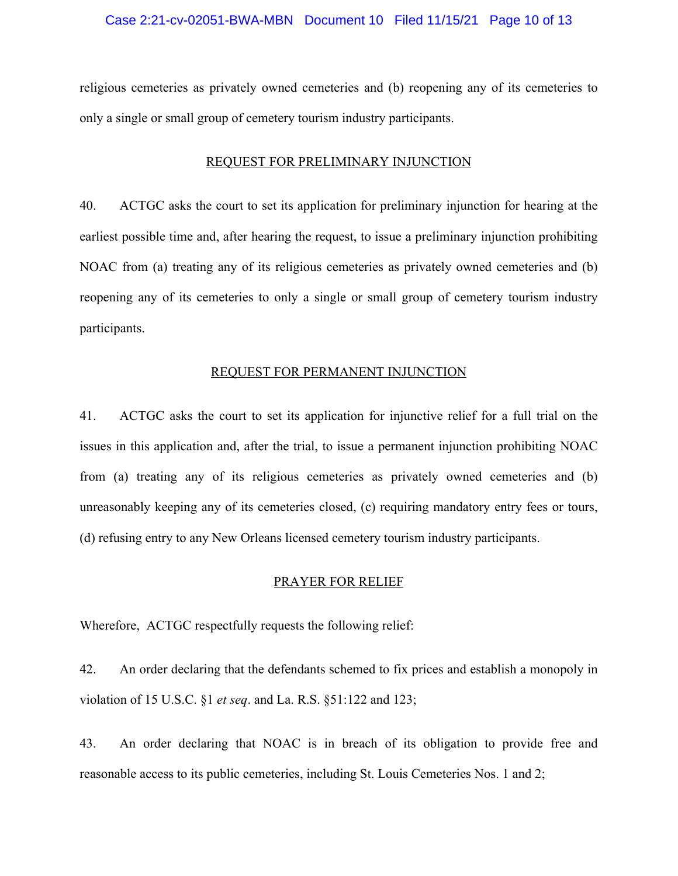#### Case 2:21-cv-02051-BWA-MBN Document 10 Filed 11/15/21 Page 10 of 13

religious cemeteries as privately owned cemeteries and (b) reopening any of its cemeteries to only a single or small group of cemetery tourism industry participants.

## REQUEST FOR PRELIMINARY INJUNCTION

40. ACTGC asks the court to set its application for preliminary injunction for hearing at the earliest possible time and, after hearing the request, to issue a preliminary injunction prohibiting NOAC from (a) treating any of its religious cemeteries as privately owned cemeteries and (b) reopening any of its cemeteries to only a single or small group of cemetery tourism industry participants.

#### REQUEST FOR PERMANENT INJUNCTION

41. ACTGC asks the court to set its application for injunctive relief for a full trial on the issues in this application and, after the trial, to issue a permanent injunction prohibiting NOAC from (a) treating any of its religious cemeteries as privately owned cemeteries and (b) unreasonably keeping any of its cemeteries closed, (c) requiring mandatory entry fees or tours, (d) refusing entry to any New Orleans licensed cemetery tourism industry participants.

#### PRAYER FOR RELIEF

Wherefore, ACTGC respectfully requests the following relief:

42. An order declaring that the defendants schemed to fix prices and establish a monopoly in violation of 15 U.S.C. §1 *et seq*. and La. R.S. §51:122 and 123;

43. An order declaring that NOAC is in breach of its obligation to provide free and reasonable access to its public cemeteries, including St. Louis Cemeteries Nos. 1 and 2;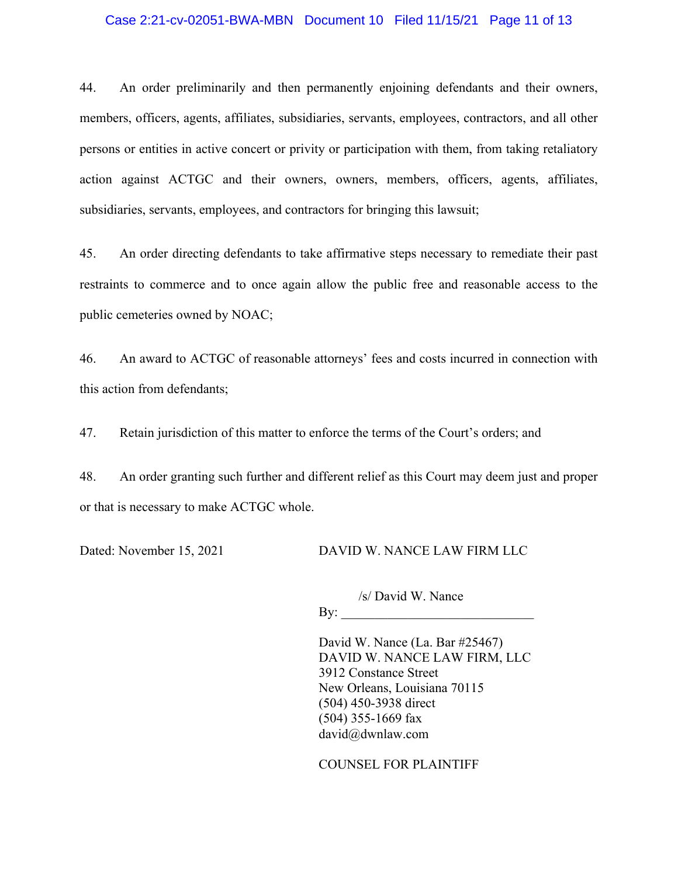### Case 2:21-cv-02051-BWA-MBN Document 10 Filed 11/15/21 Page 11 of 13

44. An order preliminarily and then permanently enjoining defendants and their owners, members, officers, agents, affiliates, subsidiaries, servants, employees, contractors, and all other persons or entities in active concert or privity or participation with them, from taking retaliatory action against ACTGC and their owners, owners, members, officers, agents, affiliates, subsidiaries, servants, employees, and contractors for bringing this lawsuit;

45. An order directing defendants to take affirmative steps necessary to remediate their past restraints to commerce and to once again allow the public free and reasonable access to the public cemeteries owned by NOAC;

46. An award to ACTGC of reasonable attorneys' fees and costs incurred in connection with this action from defendants;

47. Retain jurisdiction of this matter to enforce the terms of the Court's orders; and

48. An order granting such further and different relief as this Court may deem just and proper or that is necessary to make ACTGC whole.

Dated: November 15, 2021 DAVID W. NANCE LAW FIRM LLC

/s/ David W. Nance  $\mathbf{By:}$ 

David W. Nance (La. Bar #25467) DAVID W. NANCE LAW FIRM, LLC 3912 Constance Street New Orleans, Louisiana 70115 (504) 450-3938 direct (504) 355-1669 fax david@dwnlaw.com

COUNSEL FOR PLAINTIFF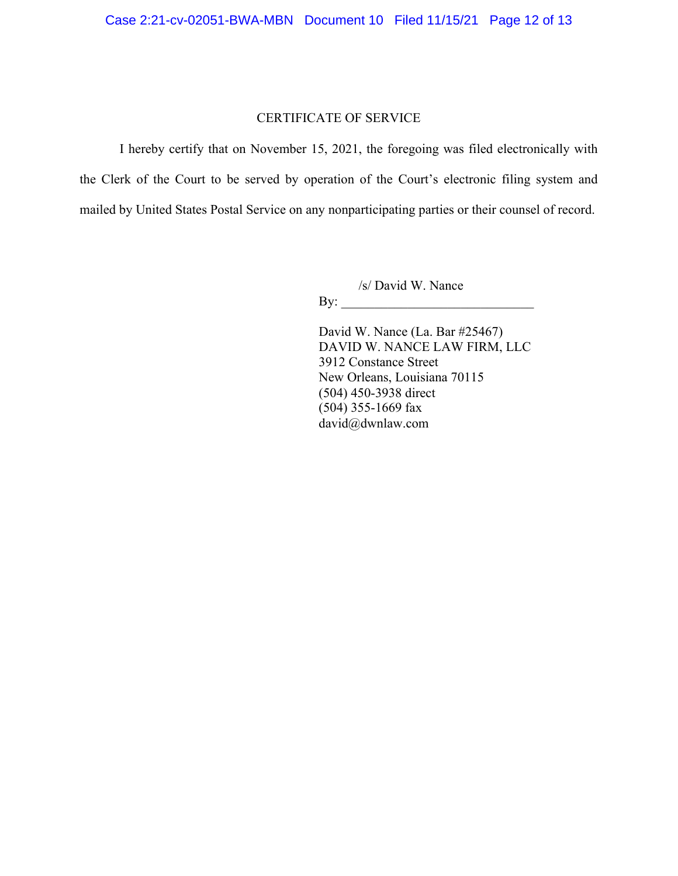## CERTIFICATE OF SERVICE

I hereby certify that on November 15, 2021, the foregoing was filed electronically with the Clerk of the Court to be served by operation of the Court's electronic filing system and mailed by United States Postal Service on any nonparticipating parties or their counsel of record.

/s/ David W. Nance

By:

David W. Nance (La. Bar #25467) DAVID W. NANCE LAW FIRM, LLC 3912 Constance Street New Orleans, Louisiana 70115 (504) 450-3938 direct (504) 355-1669 fax david@dwnlaw.com